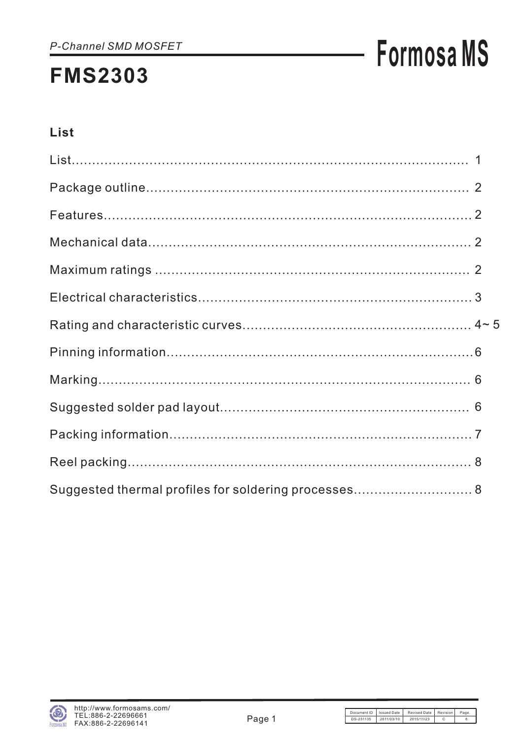## **Formosa MS**

### List

| Suggested thermal profiles for soldering processes 8 |  |
|------------------------------------------------------|--|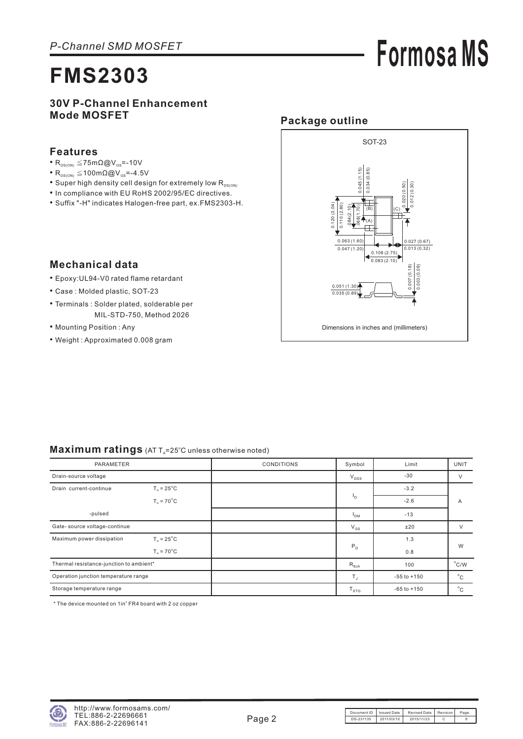## **Formosa MS**

### **30V P-Channel Enhancement Mode MOSFET**

#### **Features**

- $R_{DS(ON)} \leq 75 \text{m}\Omega \textcircled{Q} V_{GS} = -10V$
- $R_{DS(ON)} \leq 100 \text{m}\Omega \textcircled{Q} V_{GS} = -4.5 V$
- $\bullet$  Super high density cell design for extremely low  $\mathsf{R}_{\text{\tiny{DS(ON}}}$
- In compliance with EU RoHS 2002/95/EC directives.
- Suffix "-H" indicates Halogen-free part, ex.FMS2303-H.

#### **Package outline** SOT-23  $0.045(1.15)$ 0.034 (0.85)  $.068(1.70)$   $\Big]$   $0.045(1.15)$ 0.034 (0.85) 0.020 (0.50) 0.012 (0.30)  $0.120(3.04)$ 0.120 (3.04) 0.110 (2.80) .084(2.10)  $(|B\rangle||$   $||(C)$  $1101$ (A) 0.063 (1.60) 0.027 (0.67)  $0.047(1.20)$  $0.013(0.32)$ 0.108 (2.75) 0.083 (2.10)  $\begin{pmatrix} 0.007 & (0.18) \\ 0.003 & (0.09) \end{pmatrix}$ 0.007 (0.18) 0.003 (0.09)  $0.051(1.30)$  $0.035(0.8)$ Dimensions in inches and (millimeters)

### **Mechanical data**

- Epoxy:UL94-V0 rated flame retardant •
- Case : Molded plastic, SOT-23
- Terminals : Solder plated, solderable per MIL-STD-750, Method 2026
- Mounting Position: Any
- Weight : Approximated 0.008 gram

|  | $\textsf{Maximum ratings}$ (AT T <sub>A</sub> =25°C unless otherwise noted) |
|--|-----------------------------------------------------------------------------|
|--|-----------------------------------------------------------------------------|

| PARAMETER                                                    |                                    | <b>CONDITIONS</b> | Symbol          | Limit           | <b>UNIT</b>    |  |
|--------------------------------------------------------------|------------------------------------|-------------------|-----------------|-----------------|----------------|--|
| Drain-source voltage                                         |                                    |                   | $V_{DSS}$       | $-30$           | $\vee$         |  |
| $T_{\text{A}}$ = 25 <sup>°</sup> C<br>Drain current-continue |                                    |                   |                 | $-3.2$          |                |  |
|                                                              | $T_A = 70^{\circ}$ C               |                   | ۱D.             | $-2.6$          | A              |  |
| -pulsed                                                      |                                    |                   | <sup>1</sup> DM | $-13$           |                |  |
| Gate- source voltage-continue                                |                                    |                   | $V_{GS}$        | ±20             | $\vee$         |  |
| Maximum power dissipation                                    | $T_{\text{A}}$ = 25 <sup>°</sup> C |                   |                 | 1.3             |                |  |
|                                                              | $T_{A} = 70^{\circ}$ C             |                   | $P_D$           | 0.8             | W              |  |
| Thermal resistance-junction to ambient*                      |                                    |                   | $R_{\theta JA}$ | 100             | $^{\circ}$ C/W |  |
| Operation junction temperature range                         |                                    |                   | $T_{\rm J}$     | $-55$ to $+150$ | $^{\circ}$ C   |  |
| Storage temperature range                                    |                                    |                   | $T_{STG}$       | $-65$ to $+150$ | $^{\circ}$ C   |  |

 $*$  The device mounted on  $1$ in $2$  FR4 board with 2 oz copper

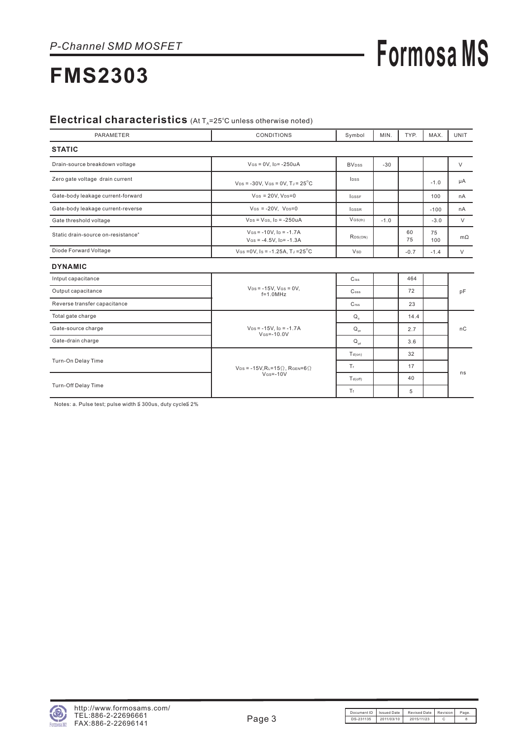## **Formosa MS**

### **FMS2303**

#### Electrical characteristics (At T<sub>A</sub>=25°C unless otherwise noted)

| <b>PARAMETER</b>                               | <b>CONDITIONS</b>                                                         | Symbol                   | MIN.   | TYP.     | MAX.      | <b>UNIT</b> |
|------------------------------------------------|---------------------------------------------------------------------------|--------------------------|--------|----------|-----------|-------------|
| <b>STATIC</b>                                  |                                                                           |                          |        |          |           |             |
| Drain-source breakdown voltage                 | $V$ Gs = 0V, Ip = -250uA                                                  | <b>BV</b> <sub>pss</sub> | $-30$  |          |           | $\vee$      |
| Zero gate voltage drain current                | $V_{DS}$ = -30V, V <sub>GS</sub> = 0V, T <sub>J</sub> = 25 <sup>°</sup> C | <b>l</b> nss             |        |          | $-1.0$    | μA          |
| Gate-body leakage current-forward              | $V$ Gs = 20V, $V_{DS}=0$                                                  | <b>IGSSF</b>             |        |          | 100       | nA          |
| Gate-body leakage current-reverse              | $V$ GS = -20V, $V$ DS=0                                                   | <b>IGSSR</b>             |        |          | $-100$    | nA          |
| Gate threshold voltage                         | $V_{DS}$ = $V_{GS}$ , $I_D$ = -250uA                                      | $V$ GS(th)               | $-1.0$ |          | $-3.0$    | $\vee$      |
| Static drain-source on-resistance <sup>a</sup> | $V$ Gs = -10V, $I_D$ = -1.7A<br>$V$ Gs = -4.5V, Ip= $-1.3A$               | RDS(ON)                  |        | 60<br>75 | 75<br>100 | $m\Omega$   |
| Diode Forward Voltage                          | $V$ Gs = 0V, Is = -1.25A, TJ = 25 <sup>°</sup> C                          | <b>V</b> sp              |        | $-0.7$   | $-1.4$    | $\vee$      |
| <b>DYNAMIC</b>                                 |                                                                           |                          |        |          |           |             |
| Intput capacitance                             |                                                                           | $C$ <sub>iss</sub>       |        | 464      |           |             |
| Output capacitance                             | $V_{DS} = -15V$ , $V_{GS} = 0V$ ,<br>$f=1.0$ MHz                          | $\mathsf{C}$ oss         |        | 72       |           | pF          |
| Reverse transfer capacitance                   |                                                                           | C <sub>rss</sub>         |        | 23       |           |             |
| Total gate charge                              |                                                                           | $Q_{\alpha}$             |        | 14.4     |           |             |
| Gate-source charge                             | $V_{DS} = -15V$ . I <sub>D</sub> = $-1.7A$<br>$V$ Gs= $-10.0V$            | $Q_{\alpha s}$           |        | 2.7      |           | nC          |
| Gate-drain charge                              |                                                                           | $Q_{\text{ad}}$          |        | 3.6      |           |             |
|                                                |                                                                           | $T_{d(on)}$              |        | 32       |           |             |
| Turn-On Delay Time                             | $V_{DS} = -15V$ , RL=15 $\Omega$ , RGEN=6 $\Omega$                        | Tr.                      |        | 17       |           | ns          |
|                                                | $V$ <sub>GS</sub> $=$ -10V                                                | $T_{d(off)}$             |        | 40       |           |             |
| Turn-Off Delay Time                            |                                                                           | Tr                       |        | 5        |           |             |

Notes: a. Pulse test; pulse width  $\leq$  300us, duty cycle $\leq$  2%

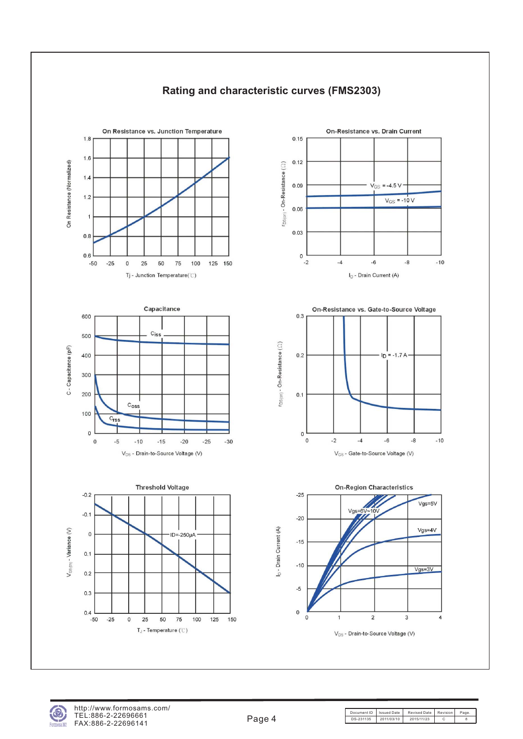

### **Rating and characteristic curves (FMS2303)**

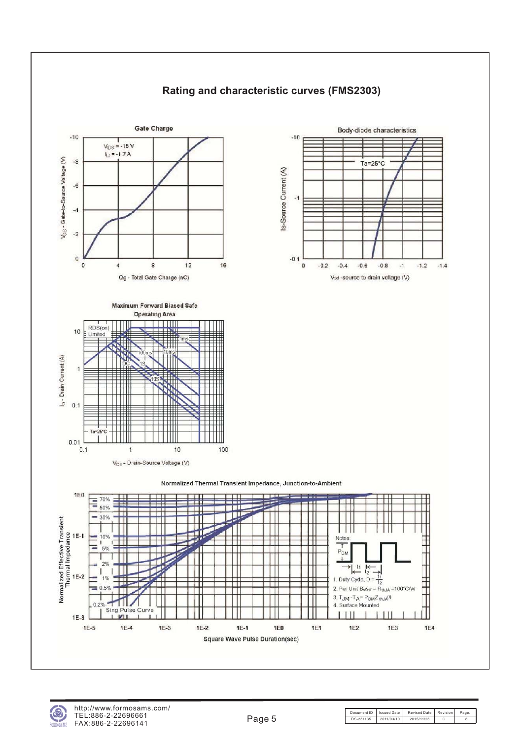

### **Rating and characteristic curves (FMS2303)**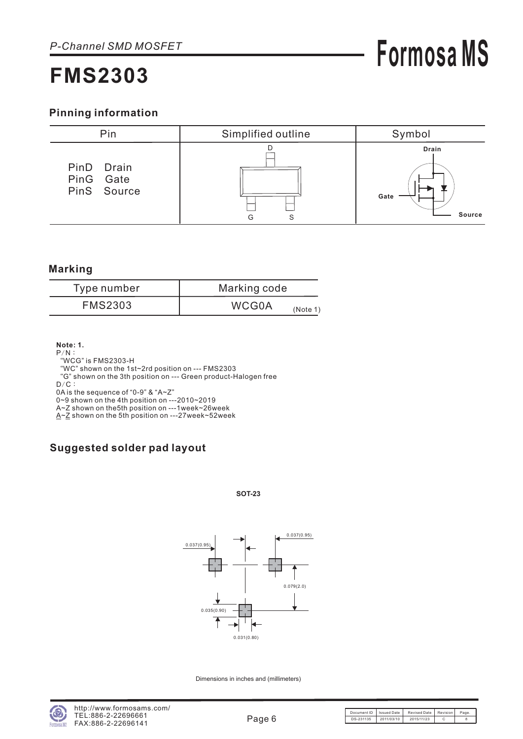### **Pinning information**



#### **Marking**

| Type number    | Marking code             |
|----------------|--------------------------|
| <b>FMS2303</b> | <b>WCG0A</b><br>(Note 1) |

**Note: 1.**

- $P/N$ :
- WCG" is FMS2303-H "

WC" shown on the 1st~2rd position on --- FMS2303 "

G" shown on the 3th position on --- Green product-Halogen free "

 $D/C$ :

0A is the sequence of "0-9" & "A~Z"

0~9 shown on the 4th position on ---2010~2019

A~Z shown on the5th position on ---1week~26week <u>A~Z</u> shown on the 5th position on ---27week~52week

### **Suggested solder pad layout**

#### **SOT-23**



Dimensions in inches and (millimeters)

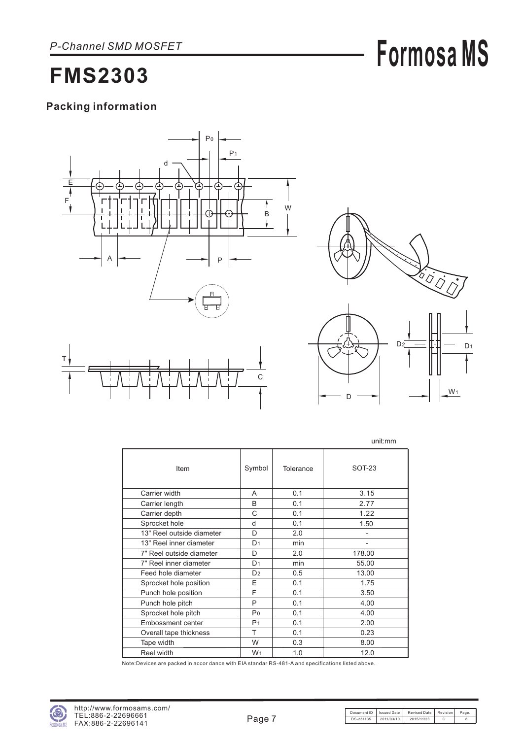## **Formosa MS**

### **FMS2303**

### **Packing information**





D

|                           |                |           | unit:mm       |
|---------------------------|----------------|-----------|---------------|
| Item                      | Symbol         | Tolerance | <b>SOT-23</b> |
| Carrier width             | A              | 0.1       | 3.15          |
| Carrier length            | B              | 0.1       | 2.77          |
| Carrier depth             | C              | 0.1       | 1.22          |
| Sprocket hole             | d              | 0.1       | 1.50          |
| 13" Reel outside diameter | D              | 2.0       |               |
| 13" Reel inner diameter   | D <sub>1</sub> | min       |               |
| 7" Reel outside diameter  | D              | 2.0       | 178.00        |
| 7" Reel inner diameter    | D <sub>1</sub> | min       | 55.00         |
| Feed hole diameter        | D <sub>2</sub> | 0.5       | 13.00         |
| Sprocket hole position    | E              | 0.1       | 1.75          |
| Punch hole position       | F              | 0.1       | 3.50          |
| Punch hole pitch          | P              | 0.1       | 4.00          |
| Sprocket hole pitch       | Po             | 0.1       | 4.00          |
| Embossment center         | P <sub>1</sub> | 0.1       | 2.00          |
| Overall tape thickness    | T              | 0.1       | 0.23          |
| Tape width                | W              | 0.3       | 8.00          |
| Reel width                | W <sub>1</sub> | 1.0       | 12.0          |

Note:Devices are packed in accor dance with EIA standar RS-481-A and specifications listed above.